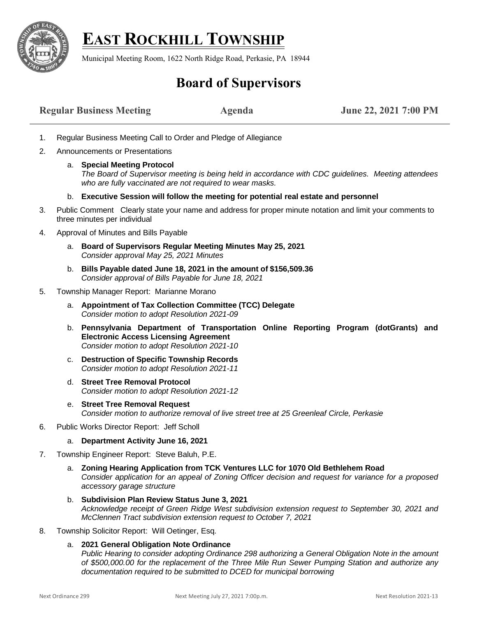

## **EAST ROCKHILL TOWNSHIP**

Municipal Meeting Room, 1622 North Ridge Road, Perkasie, PA 18944

## **Board of Supervisors**

| <b>Regular Business Meeting</b> | <b>Agenda</b> | June 22, 2021 7:00 PM |
|---------------------------------|---------------|-----------------------|
|---------------------------------|---------------|-----------------------|

- 1. Regular Business Meeting Call to Order and Pledge of Allegiance
- 2. Announcements or Presentations
	- a. **Special Meeting Protocol**  *The Board of Supervisor meeting is being held in accordance with CDC guidelines. Meeting attendees who are fully vaccinated are not required to wear masks.*
	- b. **Executive Session will follow the meeting for potential real estate and personnel**
- 3. Public Comment Clearly state your name and address for proper minute notation and limit your comments to three minutes per individual
- 4. Approval of Minutes and Bills Payable
	- a. **Board of Supervisors Regular Meeting Minutes May 25, 2021** *Consider approval May 25, 2021 Minutes*
	- b. **Bills Payable dated June 18, 2021 in the amount of \$156,509.36** *Consider approval of Bills Payable for June 18, 2021*
- 5. Township Manager Report: Marianne Morano
	- a. **Appointment of Tax Collection Committee (TCC) Delegate** *Consider motion to adopt Resolution 2021-09*
	- b. **Pennsylvania Department of Transportation Online Reporting Program (dotGrants) and Electronic Access Licensing Agreement**  *Consider motion to adopt Resolution 2021-10*
	- c. **Destruction of Specific Township Records** *Consider motion to adopt Resolution 2021-11*
	- d. **Street Tree Removal Protocol**  *Consider motion to adopt Resolution 2021-12*
	- e. **Street Tree Removal Request** *Consider motion to authorize removal of live street tree at 25 Greenleaf Circle, Perkasie*
- 6. Public Works Director Report: Jeff Scholl
	- a. **Department Activity June 16, 2021**
- 7. Township Engineer Report: Steve Baluh, P.E.
	- a. **Zoning Hearing Application from TCK Ventures LLC for 1070 Old Bethlehem Road** *Consider application for an appeal of Zoning Officer decision and request for variance for a proposed accessory garage structure*
	- b. **Subdivision Plan Review Status June 3, 2021** *Acknowledge receipt of Green Ridge West subdivision extension request to September 30, 2021 and McClennen Tract subdivision extension request to October 7, 2021*
- 8. Township Solicitor Report: Will Oetinger, Esq.
	- a. **2021 General Obligation Note Ordinance** *Public Hearing to consider adopting Ordinance 298 authorizing a General Obligation Note in the amount of \$500,000.00 for the replacement of the Three Mile Run Sewer Pumping Station and authorize any documentation required to be submitted to DCED for municipal borrowing*